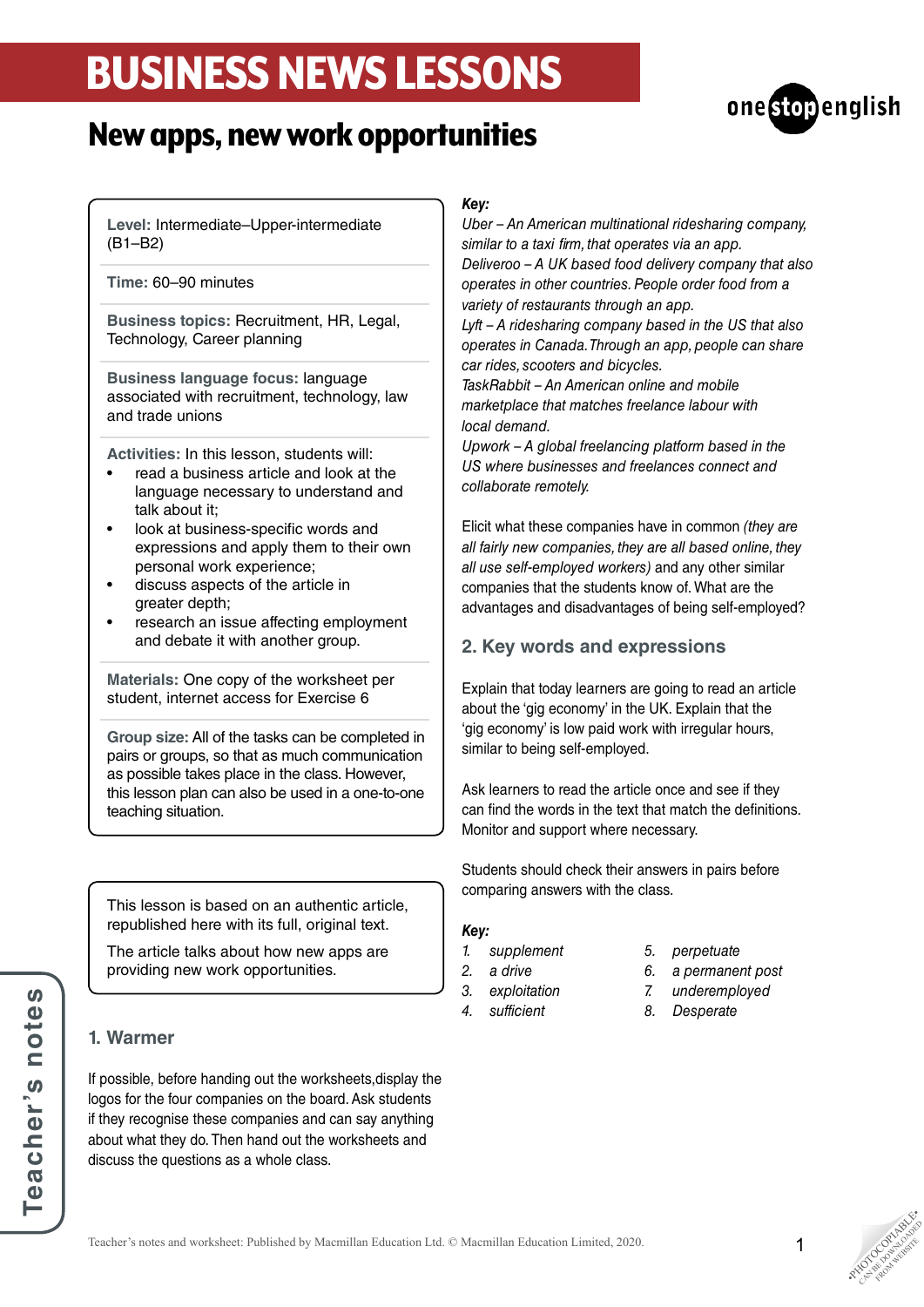# BUSINESS NEWS LESSONS





**Level:** Intermediate–Upper-intermediate (B1–B2)

**Time:** 60–90 minutes

**Business topics:** Recruitment, HR, Legal, Technology, Career planning

**Business language focus:** language associated with recruitment, technology, law and trade unions

**Activities:** In this lesson, students will:

- read a business article and look at the language necessary to understand and talk about it;
- look at business-specific words and expressions and apply them to their own personal work experience;
- discuss aspects of the article in greater depth;
- research an issue affecting employment and debate it with another group.

**Materials:** One copy of the worksheet per student, internet access for Exercise 6

**Group size:** All of the tasks can be completed in pairs or groups, so that as much communication as possible takes place in the class. However, this lesson plan can also be used in a one-to-one teaching situation.

This lesson is based on an authentic article, republished here with its full, original text.

The article talks about how new apps are providing new work opportunities.

## **1. Warmer**

If possible, before handing out the worksheets,display the logos for the four companies on the board. Ask students if they recognise these companies and can say anything about what they do. Then hand out the worksheets and discuss the questions as a whole class.

### *Key:*

*Uber – An American multinational ridesharing company, similar to a taxi firm, that operates via an app. Deliveroo – A UK based food delivery company that also operates in other countries. People order food from a variety of restaurants through an app.*

*Lyft – A ridesharing company based in the US that also operates in Canada. Through an app, people can share car rides, scooters and bicycles.*

*TaskRabbit – An American online and mobile marketplace that matches freelance labour with local demand.*

*Upwork – A global freelancing platform based in the US where businesses and freelances connect and collaborate remotely.*

Elicit what these companies have in common *(they are all fairly new companies, they are all based online, they all use self-employed workers)* and any other similar companies that the students know of. What are the advantages and disadvantages of being self-employed?

# **2. Key words and expressions**

Explain that today learners are going to read an article about the 'gig economy' in the UK. Explain that the 'gig economy' is low paid work with irregular hours, similar to being self-employed.

Ask learners to read the article once and see if they can find the words in the text that match the definitions. Monitor and support where necessary.

Students should check their answers in pairs before comparing answers with the class.

### *Key:*

- *1. supplement*
- *2. a drive*
- *3. exploitation*
- *4. sufficient*
- *5. perpetuate*
- *6. a permanent post*
- *7. underemployed*
- *8. Desperate*